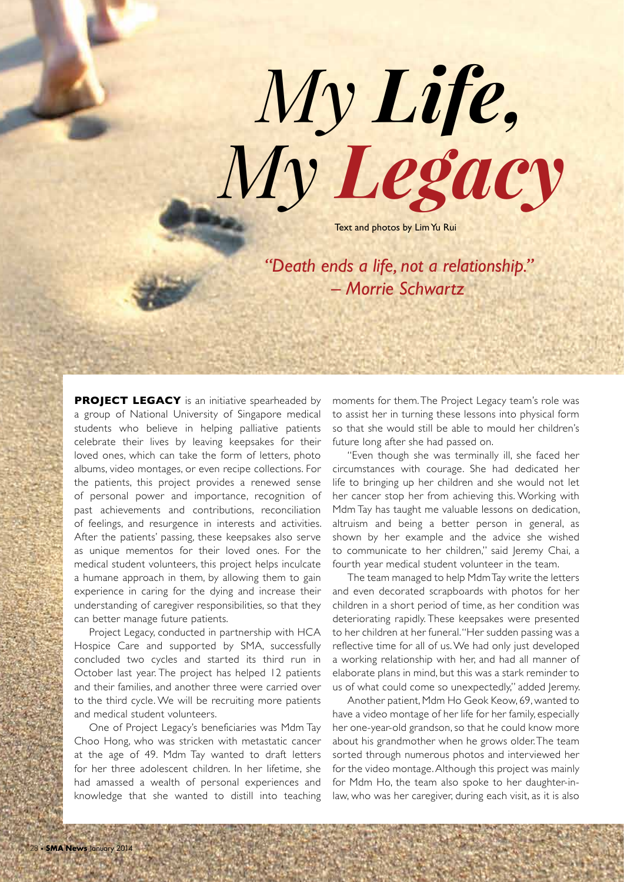*My Life,* Text and photos by Lim Yu Rui *My Legacy*

*"Death ends a life, not a relationship." – Morrie Schwartz* 

**PROJECT LEGACY** is an initiative spearheaded by a group of National University of Singapore medical students who believe in helping palliative patients celebrate their lives by leaving keepsakes for their loved ones, which can take the form of letters, photo albums, video montages, or even recipe collections. For the patients, this project provides a renewed sense of personal power and importance, recognition of past achievements and contributions, reconciliation of feelings, and resurgence in interests and activities. After the patients' passing, these keepsakes also serve as unique mementos for their loved ones. For the medical student volunteers, this project helps inculcate a humane approach in them, by allowing them to gain experience in caring for the dying and increase their understanding of caregiver responsibilities, so that they can better manage future patients.

Project Legacy, conducted in partnership with HCA Hospice Care and supported by SMA, successfully concluded two cycles and started its third run in October last year. The project has helped 12 patients and their families, and another three were carried over to the third cycle. We will be recruiting more patients and medical student volunteers.

One of Project Legacy's beneficiaries was Mdm Tay Choo Hong, who was stricken with metastatic cancer at the age of 49. Mdm Tay wanted to draft letters for her three adolescent children. In her lifetime, she had amassed a wealth of personal experiences and knowledge that she wanted to distill into teaching

moments for them. The Project Legacy team's role was to assist her in turning these lessons into physical form so that she would still be able to mould her children's future long after she had passed on.

"Even though she was terminally ill, she faced her circumstances with courage. She had dedicated her life to bringing up her children and she would not let her cancer stop her from achieving this. Working with Mdm Tay has taught me valuable lessons on dedication, altruism and being a better person in general, as shown by her example and the advice she wished to communicate to her children," said Jeremy Chai, a fourth year medical student volunteer in the team.

The team managed to help Mdm Tay write the letters and even decorated scrapboards with photos for her children in a short period of time, as her condition was deteriorating rapidly. These keepsakes were presented to her children at her funeral. "Her sudden passing was a reflective time for all of us. We had only just developed a working relationship with her, and had all manner of elaborate plans in mind, but this was a stark reminder to us of what could come so unexpectedly," added Jeremy.

Another patient, Mdm Ho Geok Keow, 69, wanted to have a video montage of her life for her family, especially her one-year-old grandson, so that he could know more about his grandmother when he grows older. The team sorted through numerous photos and interviewed her for the video montage. Although this project was mainly for Mdm Ho, the team also spoke to her daughter-inlaw, who was her caregiver, during each visit, as it is also